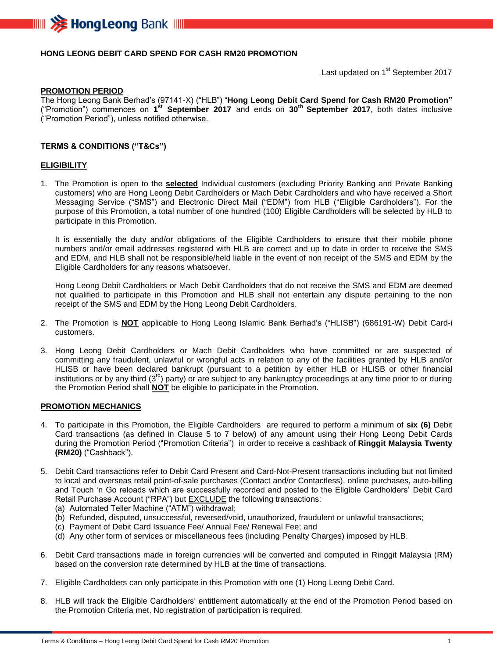

## **HONG LEONG DEBIT CARD SPEND FOR CASH RM20 PROMOTION**

Last updated on 1<sup>st</sup> September 2017

#### **PROMOTION PERIOD**

The Hong Leong Bank Berhad's (97141-X) ("HLB") "**Hong Leong Debit Card Spend for Cash RM20 Promotion"** ("Promotion") commences on **1 st September 2017** and ends on **30 th September 2017**, both dates inclusive ("Promotion Period"), unless notified otherwise.

### **TERMS & CONDITIONS ("T&Cs")**

#### **ELIGIBILITY**

1. The Promotion is open to the **selected** Individual customers (excluding Priority Banking and Private Banking customers) who are Hong Leong Debit Cardholders or Mach Debit Cardholders and who have received a Short Messaging Service ("SMS") and Electronic Direct Mail ("EDM") from HLB ("Eligible Cardholders"). For the purpose of this Promotion, a total number of one hundred (100) Eligible Cardholders will be selected by HLB to participate in this Promotion.

It is essentially the duty and/or obligations of the Eligible Cardholders to ensure that their mobile phone numbers and/or email addresses registered with HLB are correct and up to date in order to receive the SMS and EDM, and HLB shall not be responsible/held liable in the event of non receipt of the SMS and EDM by the Eligible Cardholders for any reasons whatsoever.

Hong Leong Debit Cardholders or Mach Debit Cardholders that do not receive the SMS and EDM are deemed not qualified to participate in this Promotion and HLB shall not entertain any dispute pertaining to the non receipt of the SMS and EDM by the Hong Leong Debit Cardholders.

- 2. The Promotion is **NOT** applicable to Hong Leong Islamic Bank Berhad's ("HLISB") (686191-W) Debit Card-i customers.
- 3. Hong Leong Debit Cardholders or Mach Debit Cardholders who have committed or are suspected of committing any fraudulent, unlawful or wrongful acts in relation to any of the facilities granted by HLB and/or HLISB or have been declared bankrupt (pursuant to a petition by either HLB or HLISB or other financial institutions or by any third (3<sup>rd</sup>) party) or are subject to any bankruptcy proceedings at any time prior to or during the Promotion Period shall **NOT** be eligible to participate in the Promotion.

#### **PROMOTION MECHANICS**

- 4. To participate in this Promotion, the Eligible Cardholders are required to perform a minimum of **six (6)** Debit Card transactions (as defined in Clause 5 to 7 below) of any amount using their Hong Leong Debit Cards during the Promotion Period ("Promotion Criteria") in order to receive a cashback of **Ringgit Malaysia Twenty (RM20)** ("Cashback").
- 5. Debit Card transactions refer to Debit Card Present and Card-Not-Present transactions including but not limited to local and overseas retail point-of-sale purchases (Contact and/or Contactless), online purchases, auto-billing and Touch 'n Go reloads which are successfully recorded and posted to the Eligible Cardholders' Debit Card Retail Purchase Account ("RPA") but **EXCLUDE** the following transactions:
	- (a) Automated Teller Machine ("ATM") withdrawal;
	- (b) Refunded, disputed, unsuccessful, reversed/void, unauthorized, fraudulent or unlawful transactions;
	- (c) Payment of Debit Card Issuance Fee/ Annual Fee/ Renewal Fee; and
	- (d) Any other form of services or miscellaneous fees (including Penalty Charges) imposed by HLB.
- 6. Debit Card transactions made in foreign currencies will be converted and computed in Ringgit Malaysia (RM) based on the conversion rate determined by HLB at the time of transactions.
- 7. Eligible Cardholders can only participate in this Promotion with one (1) Hong Leong Debit Card.
- 8. HLB will track the Eligible Cardholders' entitlement automatically at the end of the Promotion Period based on the Promotion Criteria met. No registration of participation is required.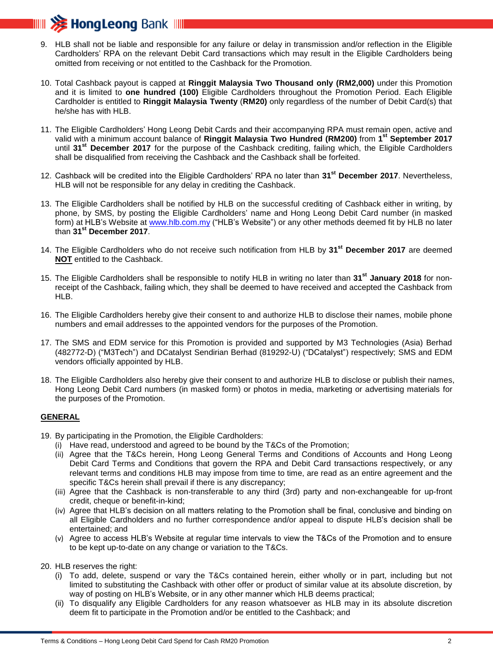

- 9. HLB shall not be liable and responsible for any failure or delay in transmission and/or reflection in the Eligible Cardholders' RPA on the relevant Debit Card transactions which may result in the Eligible Cardholders being omitted from receiving or not entitled to the Cashback for the Promotion.
- 10. Total Cashback payout is capped at **Ringgit Malaysia Two Thousand only (RM2,000)** under this Promotion and it is limited to **one hundred (100)** Eligible Cardholders throughout the Promotion Period. Each Eligible Cardholder is entitled to **Ringgit Malaysia Twenty** (**RM20)** only regardless of the number of Debit Card(s) that he/she has with HLB.
- 11. The Eligible Cardholders' Hong Leong Debit Cards and their accompanying RPA must remain open, active and valid with a minimum account balance of **Ringgit Malaysia Two Hundred (RM200)** from **1 st September 2017** until **31st December 2017** for the purpose of the Cashback crediting, failing which, the Eligible Cardholders shall be disqualified from receiving the Cashback and the Cashback shall be forfeited.
- 12. Cashback will be credited into the Eligible Cardholders' RPA no later than **31st December 2017**. Nevertheless, HLB will not be responsible for any delay in crediting the Cashback.
- 13. The Eligible Cardholders shall be notified by HLB on the successful crediting of Cashback either in writing, by phone, by SMS, by posting the Eligible Cardholders' name and Hong Leong Debit Card number (in masked form) at HLB's Website at [www.hlb.com.my](http://www.hlb.com.my/) ("HLB's Website") or any other methods deemed fit by HLB no later than **31st December 2017**.
- 14. The Eligible Cardholders who do not receive such notification from HLB by **31st December 2017** are deemed **NOT** entitled to the Cashback.
- 15. The Eligible Cardholders shall be responsible to notify HLB in writing no later than **31st January 2018** for nonreceipt of the Cashback, failing which, they shall be deemed to have received and accepted the Cashback from HLB.
- 16. The Eligible Cardholders hereby give their consent to and authorize HLB to disclose their names, mobile phone numbers and email addresses to the appointed vendors for the purposes of the Promotion.
- 17. The SMS and EDM service for this Promotion is provided and supported by M3 Technologies (Asia) Berhad (482772-D) ("M3Tech") and DCatalyst Sendirian Berhad (819292-U) ("DCatalyst") respectively; SMS and EDM vendors officially appointed by HLB.
- 18. The Eligible Cardholders also hereby give their consent to and authorize HLB to disclose or publish their names, Hong Leong Debit Card numbers (in masked form) or photos in media, marketing or advertising materials for the purposes of the Promotion.

## **GENERAL**

- 19. By participating in the Promotion, the Eligible Cardholders:
	- (i) Have read, understood and agreed to be bound by the T&Cs of the Promotion;
	- (ii) Agree that the T&Cs herein, Hong Leong General Terms and Conditions of Accounts and Hong Leong Debit Card Terms and Conditions that govern the RPA and Debit Card transactions respectively, or any relevant terms and conditions HLB may impose from time to time, are read as an entire agreement and the specific T&Cs herein shall prevail if there is any discrepancy;
	- (iii) Agree that the Cashback is non-transferable to any third (3rd) party and non-exchangeable for up-front credit, cheque or benefit-in-kind;
	- (iv) Agree that HLB's decision on all matters relating to the Promotion shall be final, conclusive and binding on all Eligible Cardholders and no further correspondence and/or appeal to dispute HLB's decision shall be entertained; and
	- (v) Agree to access HLB's Website at regular time intervals to view the T&Cs of the Promotion and to ensure to be kept up-to-date on any change or variation to the T&Cs.

20. HLB reserves the right:

- (i) To add, delete, suspend or vary the T&Cs contained herein, either wholly or in part, including but not limited to substituting the Cashback with other offer or product of similar value at its absolute discretion, by way of posting on HLB's Website, or in any other manner which HLB deems practical;
- (ii) To disqualify any Eligible Cardholders for any reason whatsoever as HLB may in its absolute discretion deem fit to participate in the Promotion and/or be entitled to the Cashback; and